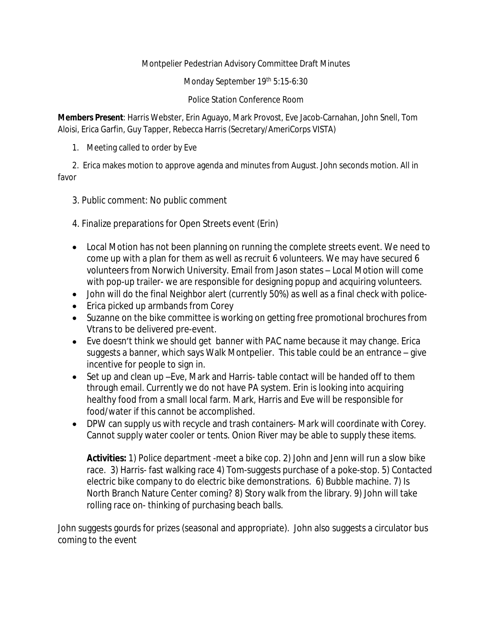Montpelier Pedestrian Advisory Committee Draft Minutes

Monday September 19th 5:15-6:30

Police Station Conference Room

**Members Present**: Harris Webster, Erin Aguayo, Mark Provost, Eve Jacob-Carnahan, John Snell, Tom Aloisi, Erica Garfin, Guy Tapper, Rebecca Harris (Secretary/AmeriCorps VISTA)

1. Meeting called to order by Eve

2. Erica makes motion to approve agenda and minutes from August. John seconds motion. All in favor

- 3. Public comment: No public comment
- 4. Finalize preparations for Open Streets event (Erin)
- Local Motion has not been planning on running the complete streets event. We need to come up with a plan for them as well as recruit 6 volunteers. We may have secured 6 volunteers from Norwich University. Email from Jason states – Local Motion will come with pop-up trailer- we are responsible for designing popup and acquiring volunteers.
- John will do the final Neighbor alert (currently 50%) as well as a final check with police-
- Erica picked up armbands from Corey
- Suzanne on the bike committee is working on getting free promotional brochures from Vtrans to be delivered pre-event.
- Eve doesn't think we should get banner with PAC name because it may change. Erica suggests a banner, which says Walk Montpelier. This table could be an entrance – give incentive for people to sign in.
- Set up and clean up –Eve, Mark and Harris- table contact will be handed off to them through email. Currently we do not have PA system. Erin is looking into acquiring healthy food from a small local farm. Mark, Harris and Eve will be responsible for food/water if this cannot be accomplished.
- DPW can supply us with recycle and trash containers- Mark will coordinate with Corey. Cannot supply water cooler or tents. Onion River may be able to supply these items.

**Activities:** 1) Police department -meet a bike cop. 2) John and Jenn will run a slow bike race. 3) Harris- fast walking race 4) Tom-suggests purchase of a poke-stop. 5) Contacted electric bike company to do electric bike demonstrations. 6) Bubble machine. 7) Is North Branch Nature Center coming? 8) Story walk from the library. 9) John will take rolling race on- thinking of purchasing beach balls.

John suggests gourds for prizes (seasonal and appropriate). John also suggests a circulator bus coming to the event